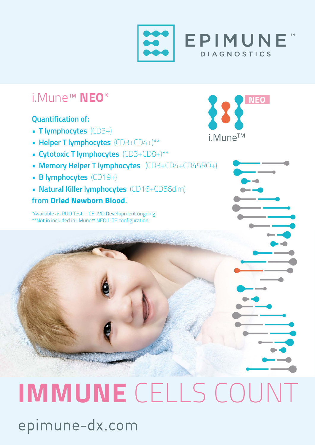

## i.Mune™ **NEO**\*

#### **Quantification of:**

- **T lymphocytes** (CD3+)
- **Helper T lymphocytes** (CD3+CD4+)\*\*
- **Cytotoxic T lymphocytes** (CD3+CD8+)\*\*
- **Memory Helper T lymphocytes** (CD3+CD4+CD45RO+)
- **B lymphocytes** (CD19+)
- **Natural Killer lymphocytes** (CD16+CD56dim)

#### **from Dried Newborn Blood.**

\*Available as RUO Test – CE-IVD Development ongoing \*\*Not in included in i.Mune™ NEO LITE configuration



# **IMMUNE** CELLS COUNTepimune-dx.com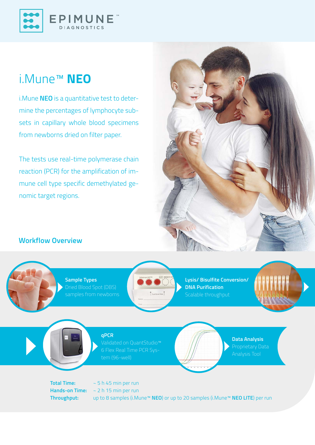

## i.Mune™ **NEO**

i.Mune **NEO** is a quantitative test to determine the percentages of lymphocyte subsets in capillary whole blood specimens from newborns dried on filter paper.

The tests use real-time polymerase chain reaction (PCR) for the amplification of immune cell type specific demethylated genomic target regions.

#### **Workflow Overview**

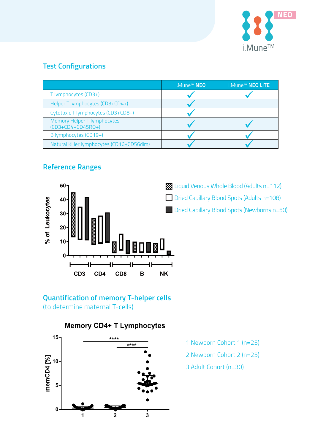

#### **Test Configurations**

|                                                           | i.Mune™ NEO | i.Mune™ NEO LITE |
|-----------------------------------------------------------|-------------|------------------|
| T lymphocytes (CD3+)                                      |             |                  |
| Helper T lymphocytes (CD3+CD4+)                           |             |                  |
| Cytotoxic T lymphocytes (CD3+CD8+)                        |             |                  |
| <b>Memory Helper T lymphocytes</b><br>$(CD3+CD4+CD45RO+)$ |             |                  |
| B lymphocytes (CD19+)                                     |             |                  |
| Natural Killer lymphocytes (CD16+CD56dim)                 |             |                  |

#### **Reference Ranges**



**Example 21 United States Universe** Contains 12 Liquid Venous Whole Blood (Adults n=112)

Dried Capillary Blood Spots (Adults n=108)

Dried Capillary Blood Spots (Newborns n=50)

#### **Quantification of memory T-helper cells** (to determine maternal T-cells)

#### **Memory CD4+ T Lymphocytes**



- 1 Newborn Cohort 1 (n=25)
- 2 Newborn Cohort 2 (n=25)
- 3 Adult Cohort (n=30)